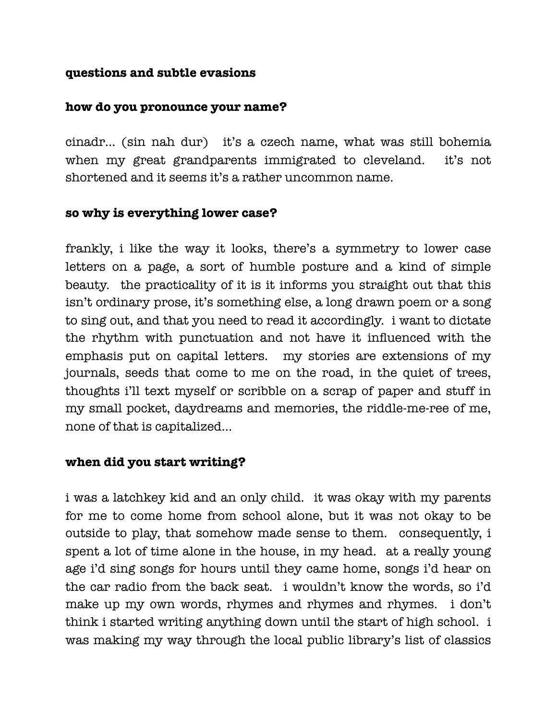#### **questions and subtle evasions**

#### **how do you pronounce your name?**

cinadr… (sin nah dur) it's a czech name, what was still bohemia when my great grandparents immigrated to cleveland. it's not shortened and it seems it's a rather uncommon name.

# **so why is everything lower case?**

frankly, i like the way it looks, there's a symmetry to lower case letters on a page, a sort of humble posture and a kind of simple beauty. the practicality of it is it informs you straight out that this isn't ordinary prose, it's something else, a long drawn poem or a song to sing out, and that you need to read it accordingly. i want to dictate the rhythm with punctuation and not have it influenced with the emphasis put on capital letters. my stories are extensions of my journals, seeds that come to me on the road, in the quiet of trees, thoughts i'll text myself or scribble on a scrap of paper and stuff in my small pocket, daydreams and memories, the riddle-me-ree of me, none of that is capitalized…

## **when did you start writing?**

i was a latchkey kid and an only child. it was okay with my parents for me to come home from school alone, but it was not okay to be outside to play, that somehow made sense to them. consequently, i spent a lot of time alone in the house, in my head. at a really young age i'd sing songs for hours until they came home, songs i'd hear on the car radio from the back seat. i wouldn't know the words, so i'd make up my own words, rhymes and rhymes and rhymes. i don't think i started writing anything down until the start of high school. i was making my way through the local public library's list of classics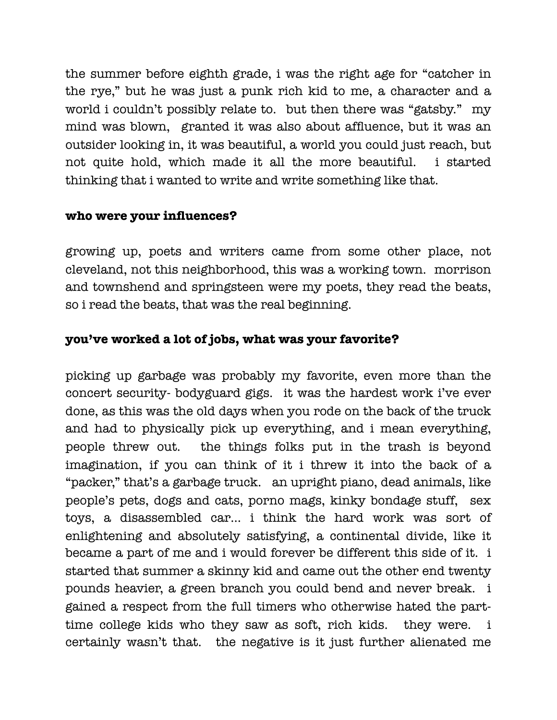the summer before eighth grade, i was the right age for "catcher in the rye," but he was just a punk rich kid to me, a character and a world i couldn't possibly relate to. but then there was "gatsby." my mind was blown, granted it was also about affluence, but it was an outsider looking in, it was beautiful, a world you could just reach, but not quite hold, which made it all the more beautiful. i started thinking that i wanted to write and write something like that.

## **who were your influences?**

growing up, poets and writers came from some other place, not cleveland, not this neighborhood, this was a working town. morrison and townshend and springsteen were my poets, they read the beats, so i read the beats, that was the real beginning.

# **you've worked a lot of jobs, what was your favorite?**

picking up garbage was probably my favorite, even more than the concert security- bodyguard gigs. it was the hardest work i've ever done, as this was the old days when you rode on the back of the truck and had to physically pick up everything, and i mean everything, people threw out. the things folks put in the trash is beyond imagination, if you can think of it i threw it into the back of a "packer," that's a garbage truck. an upright piano, dead animals, like people's pets, dogs and cats, porno mags, kinky bondage stuff, sex toys, a disassembled car… i think the hard work was sort of enlightening and absolutely satisfying, a continental divide, like it became a part of me and i would forever be different this side of it. i started that summer a skinny kid and came out the other end twenty pounds heavier, a green branch you could bend and never break. i gained a respect from the full timers who otherwise hated the parttime college kids who they saw as soft, rich kids. they were. i certainly wasn't that. the negative is it just further alienated me